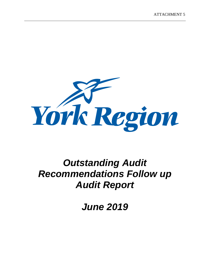

# *Outstanding Audit Recommendations Follow up Audit Report*

*June 2019*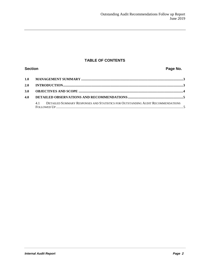### **TABLE OF CONTENTS**

## **Section Page No. Page No. 1.0 MANAGEMENT SUMMARY ......................................................................................................................3 2.0 INTRODUCTION...........................................................................................................................................3 3.0 OBJECTIVES AND SCOPE .........................................................................................................................4 4.0 DETAILED OBSERVATIONS AND RECOMMENDATIONS................................................................5** 4.1 DETAILED SUMMARY RESPONSES AND STATISTICS FOR OUTSTANDING AUDIT RECOMMENDATIONS FOLLOWED UP ...................................................................................................................................................5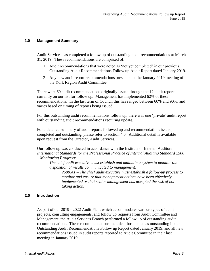#### **1.0 Management Summary**

Audit Services has completed a follow up of outstanding audit recommendations at March 31, 2019. These recommendations are comprised of:

- 1. Audit recommendations that were noted as 'not yet completed' in our previous Outstanding Audit Recommendations Follow up Audit Report dated January 2019.
- 2. Any new audit report recommendations presented at the January 2019 meeting of the York Region Audit Committee.

There were 69 audit recommendations originally issued through the 12 audit reports currently on our list for follow up. Management has implemented 62% of these recommendations. In the last term of Council this has ranged between 60% and 90%, and varies based on timing of reports being issued.

For this outstanding audit recommendations follow up, there was one 'private' audit report with outstanding audit recommendations requiring update.

For a detailed summary of audit reports followed up and recommendations issued, completed and outstanding, please refer to section 4.0. Additional detail is available upon request from the Director, Audit Services*.*

Our follow up was conducted in accordance with the Institute of Internal Auditors *International Standards for the Professional Practice of Internal Auditing Standard 2500 – Monitoring Progress*:

*The chief audit executive must establish and maintain a system to monitor the disposition of results communicated to management.*

*2500.A1 – The chief audit executive must establish a follow-up process to monitor and ensure that management actions have been effectively implemented or that senior management has accepted the risk of not taking action.*

#### **2.0 Introduction**

As part of our 2019 - 2022 Audit Plan, which accommodates various types of audit projects, consulting engagements, and follow up requests from Audit Committee and Management, the Audit Services Branch performed a follow up of outstanding audit recommendations. These recommendations included those noted as outstanding in our Outstanding Audit Recommendations Follow up Report dated January 2019, and all new recommendations issued in audit reports reported to Audit Committee in their last meeting in January 2019.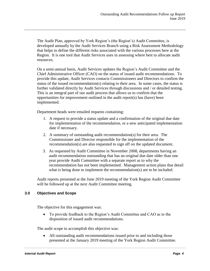The Audit Plan, approved by York Region's (the Region's) Audit Committee, is developed annually by the Audit Services Branch using a Risk Assessment Methodology that helps to define the different risks associated with the various processes here at the Region. It is one tool that Audit Services uses in assessing where best to allocate audit resources.

On a semi-annual basis, Audit Services updates the Region's Audit Committee and the Chief Administrative Officer (CAO) on the status of issued audit recommendations. To provide this update, Audit Services contacts Commissioners and Directors to confirm the status of the issued recommendation(s) relating to their area. In some cases, the status is further validated directly by Audit Services through discussions and / or detailed testing. This is an integral part of our audit process that allows us to confirm that the opportunities for improvement outlined in the audit report(s) has (have) been implemented.

Department heads were emailed requests containing:

- 1. A request to provide a status update and a confirmation of the original due date for implementation of the recommendation, or a new anticipated implementation date if necessary.
- 2. A summary of outstanding audit recommendation(s) for their area. The Commissioner and Director responsible for the implementation of the recommendation(s) are also requested to sign off on the updated document.
- 3. As requested by Audit Committee in November 2008, departments having an audit recommendation outstanding that has an original due date older than one year provide Audit Committee with a separate report as to why the recommendation has not been implemented. Management action plans that detail what is being done to implement the recommendation(s) are to be included.

Audit reports presented at the June 2019 meeting of the York Region Audit Committee will be followed up at the next Audit Committee meeting.

#### **3.0 Objectives and Scope**

The objective for this engagement was:

 To provide feedback to the Region's Audit Committee and CAO as to the disposition of issued audit recommendations.

The audit scope to accomplish this objective was:

 All outstanding audit recommendations issued prior to and including those presented at the January 2019 meeting of the York Region Audit Committee.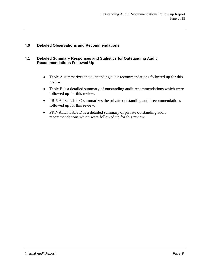#### **4.0 Detailed Observations and Recommendations**

#### **4.1 Detailed Summary Responses and Statistics for Outstanding Audit Recommendations Followed Up**

- Table A summarizes the outstanding audit recommendations followed up for this review.
- Table B is a detailed summary of outstanding audit recommendations which were followed up for this review.
- PRIVATE: Table C summarizes the private outstanding audit recommendations followed up for this review.
- PRIVATE: Table D is a detailed summary of private outstanding audit recommendations which were followed up for this review.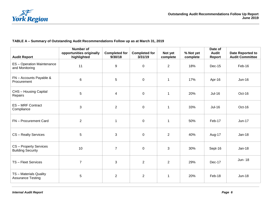

#### **TABLE A – Summary of Outstanding Audit Recommendations Follow up as at March 31, 2019**

| <b>Audit Report</b>                                | <b>Number of</b><br>opportunities originally<br>highlighted | <b>Completed for</b><br>9/30/18 | <b>Completed for</b><br>3/31/19 | Not yet<br>complete | % Not yet<br>complete | Date of<br><b>Audit</b><br>Report | Date Reported to<br><b>Audit Committee</b> |
|----------------------------------------------------|-------------------------------------------------------------|---------------------------------|---------------------------------|---------------------|-----------------------|-----------------------------------|--------------------------------------------|
| ES - Operation Maintenance<br>and Monitoring       | 11                                                          | 9                               | $\mathbf 0$                     | $\overline{2}$      | 18%                   | Dec-15                            | Feb-16                                     |
| FN - Accounts Payable &<br>Procurement             | 6                                                           | $\overline{5}$                  | $\mathbf 0$                     | $\mathbf{1}$        | 17%                   | Apr-16                            | <b>Jun-16</b>                              |
| CHS - Housing Capital<br>Repairs                   | 5                                                           | $\overline{4}$                  | $\mathbf 0$                     | $\mathbf{1}$        | 20%                   | $Jul-16$                          | Oct-16                                     |
| ES-MRF Contract<br>Compliance                      | 3                                                           | $\overline{2}$                  | $\mathbf 0$                     | $\mathbf{1}$        | 33%                   | <b>Jul-16</b>                     | Oct-16                                     |
| FN - Procurement Card                              | $\overline{2}$                                              | $\mathbf 1$                     | $\mathbf 0$                     | $\mathbf{1}$        | 50%                   | Feb-17                            | <b>Jun-17</b>                              |
| CS - Realty Services                               | 5                                                           | 3                               | $\mathbf 0$                     | $\overline{2}$      | 40%                   | Aug-17                            | <b>Jan-18</b>                              |
| CS - Property Services<br><b>Building Security</b> | 10                                                          | $\overline{7}$                  | $\mathbf 0$                     | 3                   | 30%                   | Sept-16                           | <b>Jan-18</b>                              |
| TS - Fleet Services                                | $\overline{7}$                                              | 3                               | $\overline{2}$                  | $\overline{2}$      | 29%                   | Dec-17                            | Jun-18                                     |
| TS - Materials Quality<br><b>Assurance Testing</b> | 5                                                           | $\overline{2}$                  | 2                               | $\mathbf{1}$        | 20%                   | Feb-18                            | <b>Jun-18</b>                              |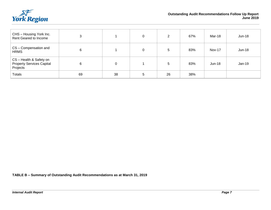

| CHS - Housing York Inc.<br>Rent Geared to Income                        | ົ  |    | $\Omega$ | 2  | 67% | Mar-18        | <b>Jun-18</b> |
|-------------------------------------------------------------------------|----|----|----------|----|-----|---------------|---------------|
| CS - Compensation and<br><b>HRMS</b>                                    | 6  |    | $\Omega$ | 5  | 83% | <b>Nov-17</b> | <b>Jun-18</b> |
| CS - Health & Safety on<br><b>Property Services Capital</b><br>Projects | 6  | 0  |          | 5  | 83% | $Jun-18$      | Jan-19        |
| <b>Totals</b>                                                           | 69 | 38 | 5        | 26 | 38% |               |               |

**TABLE B – Summary of Outstanding Audit Recommendations as at March 31, 2019**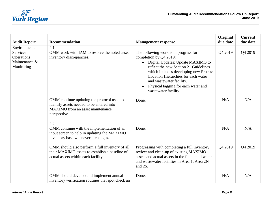

| <b>Audit Report</b>                                                           | <b>Recommendation</b>                                                                                                                       | <b>Management response</b>                                                                                                                                                                                                                                                                                               | Original<br>due date | <b>Current</b><br>due date |
|-------------------------------------------------------------------------------|---------------------------------------------------------------------------------------------------------------------------------------------|--------------------------------------------------------------------------------------------------------------------------------------------------------------------------------------------------------------------------------------------------------------------------------------------------------------------------|----------------------|----------------------------|
| Environmental<br>$S$ ervices $-$<br>Operations<br>Maintenance &<br>Monitoring | 4.1<br>OMM work with IAM to resolve the noted asset<br>inventory discrepancies.                                                             | The following work is in progress for<br>completion by Q4 2019:<br>Digital Updates: Update MAXIMO to<br>reflect the new Section 21 Guidelines<br>which includes developing new Process<br>Location Hierarchies for each water<br>and wastewater facility.<br>Physical tagging for each water and<br>wastewater facility. | Q4 2019              | Q4 2019                    |
|                                                                               | OMM continue updating the protocol used to<br>identify assets needed to be entered into<br>MAXIMO from an asset maintenance<br>perspective. | Done.                                                                                                                                                                                                                                                                                                                    | N/A                  | N/A                        |
|                                                                               | 4.2<br>OMM continue with the implementation of an<br>input screen to help in updating the MAXIMO<br>inventory base whenever it changes.     | Done.                                                                                                                                                                                                                                                                                                                    | N/A                  | N/A                        |
|                                                                               | OMM should also perform a full inventory of all<br>their MAXIMO assets to establish a baseline of<br>actual assets within each facility.    | Progressing with completing a full inventory<br>review and clean-up of existing MAXIMO<br>assets and actual assets in the field at all water<br>and wastewater facilities in Area 1, Area 2N<br>and 2S.                                                                                                                  | Q4 2019              | Q4 2019                    |
|                                                                               | OMM should develop and implement annual<br>inventory verification routines that spot check an                                               | Done.                                                                                                                                                                                                                                                                                                                    | N/A                  | N/A                        |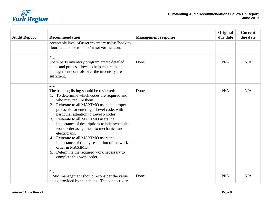

| <b>Audit Report</b> | <b>Recommendation</b>                                                                                                                                                                                                                                                                                                                                                                                                                                                                                                                                                                                    | <b>Management response</b> | Original<br>due date | <b>Current</b><br>due date |
|---------------------|----------------------------------------------------------------------------------------------------------------------------------------------------------------------------------------------------------------------------------------------------------------------------------------------------------------------------------------------------------------------------------------------------------------------------------------------------------------------------------------------------------------------------------------------------------------------------------------------------------|----------------------------|----------------------|----------------------------|
|                     | acceptable level of asset inventory using 'book to<br>floor' and 'floor to book' asset verification.                                                                                                                                                                                                                                                                                                                                                                                                                                                                                                     |                            |                      |                            |
|                     | 4.3<br>Spare parts inventory program create detailed<br>plans and process flows to help ensure that<br>management controls over the inventory are<br>sufficient.                                                                                                                                                                                                                                                                                                                                                                                                                                         | Done.                      | N/A                  | N/A                        |
|                     | 4.4<br>The backlog listing should be reviewed:<br>1. To determine which codes are required and<br>who may require them.<br>2. Reiterate to all MAXIMO users the proper<br>protocols for entering a Level code, with<br>particular attention to Level 5 codes.<br>3. Reiterate to all MAXIMO users the<br>importance of descriptions to help schedule<br>work order assignment to mechanics and<br>electricians.<br>4. Reiterate to all MAXIMO users the<br>importance of timely resolution of the work –<br>order in MAXIMO.<br>5. Determine the required work necessary to<br>complete this work order. | Done.                      | N/A                  | N/A                        |
|                     | 4.5<br>OMM management should reconsider the value<br>being provided by the tablets. The connectivity                                                                                                                                                                                                                                                                                                                                                                                                                                                                                                     | Done.                      | N/A                  | N/A                        |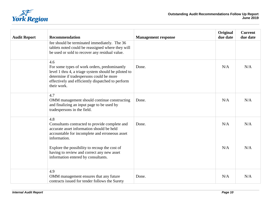

| <b>Audit Report</b> | Recommendation                                                                                                                                                                                                              | <b>Management response</b> | Original<br>due date | <b>Current</b><br>due date |
|---------------------|-----------------------------------------------------------------------------------------------------------------------------------------------------------------------------------------------------------------------------|----------------------------|----------------------|----------------------------|
|                     | fee should be terminated immediately. The 36<br>tablets noted could be reassigned where they will<br>be used or sold to recover any residual value.                                                                         |                            |                      |                            |
|                     | 4.6<br>For some types of work orders, predominantly<br>level 1 thru 4, a triage system should be piloted to<br>determine if tradespersons could be more<br>effectively and efficiently dispatched to perform<br>their work. | Done.                      | N/A                  | N/A                        |
|                     | 4.7<br>OMM management should continue constructing<br>and finalizing an input page to be used by<br>tradespersons in the field.                                                                                             | Done.                      | N/A                  | N/A                        |
|                     | 4.8<br>Consultants contracted to provide complete and<br>accurate asset information should be held<br>accountable for incomplete and erroneous asset<br>information.                                                        | Done.                      | N/A                  | N/A                        |
|                     | Explore the possibility to recoup the cost of<br>having to review and correct any new asset<br>information entered by consultants.                                                                                          |                            | N/A                  | N/A                        |
|                     | 4.9<br>OMM management ensures that any future<br>contracts issued for tender follows the Surety                                                                                                                             | Done.                      | N/A                  | N/A                        |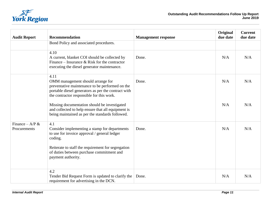

| <b>Audit Report</b>                | <b>Recommendation</b>                                                                                                                                                                            | <b>Management response</b> | Original<br>due date | <b>Current</b><br>due date |
|------------------------------------|--------------------------------------------------------------------------------------------------------------------------------------------------------------------------------------------------|----------------------------|----------------------|----------------------------|
|                                    | Bond Policy and associated procedures.                                                                                                                                                           |                            |                      |                            |
|                                    | 4.10<br>A current, blanket COI should be collected by<br>Finance – Insurance & Risk for the contractor<br>executing the diesel generator maintenance.                                            | Done.                      | N/A                  | N/A                        |
|                                    | 4.11<br>OMM management should arrange for<br>preventative maintenance to be performed on the<br>portable diesel generators as per the contract with<br>the contractor responsible for this work. | Done.                      | N/A                  | N/A                        |
|                                    | Missing documentation should be investigated<br>and collected to help ensure that all equipment is<br>being maintained as per the standards followed.                                            |                            | N/A                  | N/A                        |
| Finance – A/P $\&$<br>Procurements | 4.1<br>Consider implementing a stamp for departments<br>to use for invoice approval / general ledger<br>coding.                                                                                  | Done.                      | N/A                  | N/A                        |
|                                    | Reiterate to staff the requirement for segregation<br>of duties between purchase commitment and<br>payment authority.                                                                            |                            |                      |                            |
|                                    | 4.2<br>Tender Bid Request Form is updated to clarify the<br>requirement for advertising in the DCN.                                                                                              | Done.                      | N/A                  | N/A                        |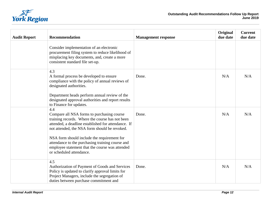

| <b>Audit Report</b> | <b>Recommendation</b>                                                                                                                                                                                                                                                                                                                                                                          | <b>Management response</b> | Original<br>due date | <b>Current</b><br>due date |
|---------------------|------------------------------------------------------------------------------------------------------------------------------------------------------------------------------------------------------------------------------------------------------------------------------------------------------------------------------------------------------------------------------------------------|----------------------------|----------------------|----------------------------|
|                     | Consider implementation of an electronic<br>procurement filing system to reduce likelihood of<br>misplacing key documents, and, create a more<br>consistent standard file set-up.                                                                                                                                                                                                              |                            |                      |                            |
|                     | 4.3<br>A formal process be developed to ensure<br>compliance with the policy of annual reviews of<br>designated authorities.<br>Department heads perform annual review of the<br>designated approval authorities and report results<br>to Finance for updates.                                                                                                                                 | Done.                      | N/A                  | N/A                        |
|                     | 4.4<br>Compare all NSA forms to purchasing course<br>training records. Where the course has not been<br>attended, a deadline established for attendance. If<br>not attended, the NSA form should be revoked.<br>NSA form should include the requirement for<br>attendance to the purchasing training course and<br>employee statement that the course was attended<br>or scheduled attendance. | Done.                      | N/A                  | N/A                        |
|                     | 4.5<br>Authorization of Payment of Goods and Services<br>Policy is updated to clarify approval limits for<br>Project Managers, include the segregation of<br>duties between purchase commitment and                                                                                                                                                                                            | Done.                      | N/A                  | N/A                        |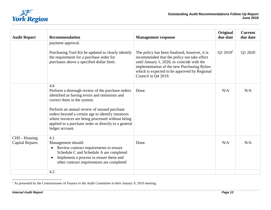

| <b>Recommendation</b>                                                                                                                                                                                                                                                                                                                                                      | <b>Management response</b>                                                                                                                                                                                                                                       | Original<br>due date | <b>Current</b><br>due date |
|----------------------------------------------------------------------------------------------------------------------------------------------------------------------------------------------------------------------------------------------------------------------------------------------------------------------------------------------------------------------------|------------------------------------------------------------------------------------------------------------------------------------------------------------------------------------------------------------------------------------------------------------------|----------------------|----------------------------|
| payment approval.<br>Purchasing Tool Kit be updated to clearly identify<br>the requirement for a purchase order for<br>purchases above a specified dollar limit.                                                                                                                                                                                                           | The policy has been finalized, however, it is<br>recommended that the policy not take effect<br>until January 1, 2020, to coincide with the<br>implementation of the new Purchasing Bylaw<br>which is expected to be approved by Regional<br>Council in Q4 2019. | Q1 2019 <sup>1</sup> | Q1 2020                    |
| 4.6<br>Perform a thorough review of the purchase orders<br>identified as having errors and omissions and<br>correct them in the system.<br>Perform an annual review of unused purchase<br>orders beyond a certain age to identify instances<br>where invoices are being processed without being<br>applied to a purchase order or directly to a general<br>ledger account. | Done.                                                                                                                                                                                                                                                            | N/A                  | N/A                        |
| 4.1<br>Management should:<br>Review contract requirements to ensure<br>$\bullet$<br>Schedule C and Schedule A are completed<br>Implement a process to ensure these and<br>$\bullet$<br>other contract requirements are completed                                                                                                                                           | Done.                                                                                                                                                                                                                                                            | N/A                  | N/A                        |
|                                                                                                                                                                                                                                                                                                                                                                            | 4.2                                                                                                                                                                                                                                                              |                      |                            |

 $<sup>1</sup>$  As presented by the Commissioner of Finance to the Audit Committee in their January 9, 2019 meeting.</sup>

l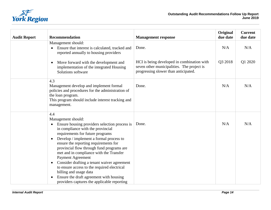

| <b>Audit Report</b> | Recommendation                                                                                                                                                                                                                                                                                                                                                                                                                                                                                                                                                                                                                    | <b>Management response</b>                                                                                                                | Original<br>due date | <b>Current</b><br>due date |
|---------------------|-----------------------------------------------------------------------------------------------------------------------------------------------------------------------------------------------------------------------------------------------------------------------------------------------------------------------------------------------------------------------------------------------------------------------------------------------------------------------------------------------------------------------------------------------------------------------------------------------------------------------------------|-------------------------------------------------------------------------------------------------------------------------------------------|----------------------|----------------------------|
|                     | Management should:<br>Ensure that interest is calculated, tracked and<br>reported annually to housing providers<br>Move forward with the development and<br>$\bullet$<br>implementation of the integrated Housing<br>Solutions software                                                                                                                                                                                                                                                                                                                                                                                           | Done.<br>HCI is being developed in combination with<br>seven other municipalities. The project is<br>progressing slower than anticipated. | N/A<br>Q3 2018       | N/A<br>Q1 2020             |
|                     | 4.3<br>Management develop and implement formal<br>policies and procedures for the administration of<br>the loan program.<br>This program should include interest tracking and<br>management.                                                                                                                                                                                                                                                                                                                                                                                                                                      | Done.                                                                                                                                     | N/A                  | N/A                        |
|                     | 4.4<br>Management should:<br>Ensure housing providers selection process is<br>$\bullet$<br>in compliance with the provincial<br>requirements for future programs<br>Develop / implement a formal process to<br>$\bullet$<br>ensure the reporting requirements for<br>provincial flow through fund programs are<br>met and in compliance with the Transfer<br><b>Payment Agreement</b><br>Consider drafting a tenant waiver agreement<br>$\bullet$<br>to ensure access to the required electrical<br>billing and usage data<br>Ensure the draft agreement with housing<br>$\bullet$<br>providers captures the applicable reporting | Done.                                                                                                                                     | N/A                  | N/A                        |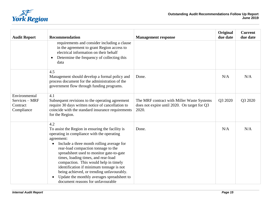

| <b>Audit Report</b>                                       | Recommendation                                                                                                                                                                                                                                                                                                                                                                                                                                                                                                  | <b>Management response</b>                                                                          | Original<br>due date | <b>Current</b><br>due date |
|-----------------------------------------------------------|-----------------------------------------------------------------------------------------------------------------------------------------------------------------------------------------------------------------------------------------------------------------------------------------------------------------------------------------------------------------------------------------------------------------------------------------------------------------------------------------------------------------|-----------------------------------------------------------------------------------------------------|----------------------|----------------------------|
|                                                           | requirements and consider including a clause<br>in the agreement to grant Region access to<br>electrical information on their behalf<br>Determine the frequency of collecting this<br>$\bullet$<br>data                                                                                                                                                                                                                                                                                                         |                                                                                                     |                      |                            |
|                                                           | 4.5<br>Management should develop a formal policy and<br>process document for the administration of the<br>government flow through funding programs.                                                                                                                                                                                                                                                                                                                                                             | Done.                                                                                               | N/A                  | N/A                        |
| Environmental<br>Services - MRF<br>Contract<br>Compliance | 4.1<br>Subsequent revisions to the operating agreement<br>require 30 days written notice of cancellation to<br>coincide with the standard insurance requirements<br>for the Region.                                                                                                                                                                                                                                                                                                                             | The MRF contract with Miller Waste Systems<br>does not expire until 2020. On target for Q3<br>2020. | Q3 2020              | Q3 2020                    |
|                                                           | 4.2<br>To assist the Region in ensuring the facility is<br>operating in compliance with the operating<br>agreement:<br>Include a three month rolling average for<br>rear-load compaction tonnage to the<br>spreadsheet used to monitor gate-to-gate<br>times, loading times, and rear-load<br>compaction. This would help in timely<br>identification if minimum tonnage is not<br>being achieved, or trending unfavourably.<br>Update the monthly averages spreadsheet to<br>document reasons for unfavourable | Done.                                                                                               | N/A                  | N/A                        |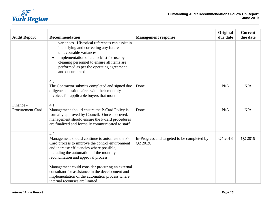

| <b>Audit Report</b>                  | Recommendation                                                                                                                                                                                                                                                              | <b>Management response</b>                              | Original<br>due date | <b>Current</b><br>due date |
|--------------------------------------|-----------------------------------------------------------------------------------------------------------------------------------------------------------------------------------------------------------------------------------------------------------------------------|---------------------------------------------------------|----------------------|----------------------------|
|                                      | variances. Historical references can assist in<br>identifying and correcting any future<br>unfavourable variances.<br>Implementation of a checklist for use by<br>cleaning personnel to ensure all items are<br>performed as per the operating agreement<br>and documented. |                                                         |                      |                            |
|                                      | 4.3<br>The Contractor submits completed and signed due<br>diligence questionnaires with their monthly<br>invoices for applicable buyers that month.                                                                                                                         | Done.                                                   | N/A                  | N/A                        |
| Finance -<br><b>Procurement Card</b> | 4.1<br>Management should ensure the P-Card Policy is<br>formally approved by Council. Once approved,<br>management should ensure the P-card procedures<br>are finalized and formally communicated to staff.                                                                 | Done.                                                   | N/A                  | N/A                        |
|                                      | 4.2<br>Management should continue to automate the P-<br>Card process to improve the control environment<br>and increase efficiencies where possible,<br>including the automation of the monthly<br>reconciliation and approval process.                                     | In-Progress and targeted to be completed by<br>Q2 2019. | Q4 2018              | Q2 2019                    |
|                                      | Management could consider procuring an external<br>consultant for assistance in the development and<br>implementation of the automation process where<br>internal recourses are limited.                                                                                    |                                                         |                      |                            |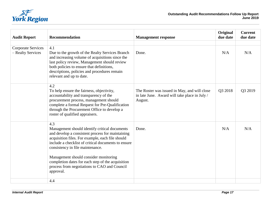

| <b>Audit Report</b>                            | <b>Recommendation</b>                                                                                                                                                                                                                                                                                                                                                                                              | <b>Management response</b>                                                                               | Original<br>due date | <b>Current</b><br>due date |
|------------------------------------------------|--------------------------------------------------------------------------------------------------------------------------------------------------------------------------------------------------------------------------------------------------------------------------------------------------------------------------------------------------------------------------------------------------------------------|----------------------------------------------------------------------------------------------------------|----------------------|----------------------------|
| <b>Corporate Services</b><br>- Realty Services | 4.1<br>Due to the growth of the Realty Services Branch<br>and increasing volume of acquisitions since the<br>last policy review, Management should review<br>both policies to ensure that definitions,<br>descriptions, policies and procedures remain<br>relevant and up to date.                                                                                                                                 | Done.                                                                                                    | N/A                  | N/A                        |
|                                                | 4.2<br>To help ensure the fairness, objectivity,<br>accountability and transparency of the<br>procurement process, management should<br>complete a formal Request for Pre-Qualification<br>through the Procurement Office to develop a<br>roster of qualified appraisers.                                                                                                                                          | The Roster was issued in May, and will close<br>in late June. Award will take place in July /<br>August. | Q3 2018              | Q3 2019                    |
|                                                | 4.3<br>Management should identify critical documents<br>and develop a consistent process for maintaining<br>acquisition files. For example, each file should<br>include a checklist of critical documents to ensure<br>consistency in file maintenance.<br>Management should consider monitoring<br>completion dates for each step of the acquisition<br>process from negotiations to CAO and Council<br>approval. | Done.                                                                                                    | N/A                  | N/A                        |
|                                                | 4.4                                                                                                                                                                                                                                                                                                                                                                                                                |                                                                                                          |                      |                            |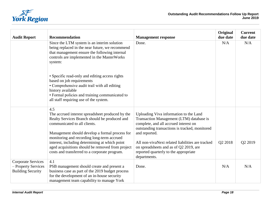

| <b>Audit Report</b>                                                          | <b>Recommendation</b>                                                                                                                                                                                                                                                                                                                                                                           | <b>Management response</b>                                                                                                                                                                                                                                                                                                                            | <b>Original</b><br>due date | <b>Current</b><br>due date |
|------------------------------------------------------------------------------|-------------------------------------------------------------------------------------------------------------------------------------------------------------------------------------------------------------------------------------------------------------------------------------------------------------------------------------------------------------------------------------------------|-------------------------------------------------------------------------------------------------------------------------------------------------------------------------------------------------------------------------------------------------------------------------------------------------------------------------------------------------------|-----------------------------|----------------------------|
|                                                                              | Since the LTM system is an interim solution<br>being replaced in the near future, we recommend<br>that management ensure the following internal<br>controls are implemented in the MasterWorks<br>system:                                                                                                                                                                                       | Done.                                                                                                                                                                                                                                                                                                                                                 | N/A                         | N/A                        |
|                                                                              | • Specific read-only and editing access rights<br>based on job requirements<br>• Comprehensive audit trail with all editing<br>history available<br>• Formal policies and training communicated to<br>all staff requiring use of the system.                                                                                                                                                    |                                                                                                                                                                                                                                                                                                                                                       |                             |                            |
|                                                                              | 4.5<br>The accrued interest spreadsheet produced by the<br>Realty Services Branch should be produced and<br>communicated to all clients.<br>Management should develop a formal process for<br>monitoring and recording long-term accrued<br>interest, including determining at which point<br>aged acquisitions should be removed from project<br>costs and transferred to a corporate program. | Uploading Viva information to the Land<br>Transaction Management (LTM) database is<br>complete, and all accrued interest on<br>outstanding transactions is tracked, monitored<br>and reported.<br>All non-vivaNext related liabilities are tracked<br>on spreadsheets and as of Q2 2019, are<br>reported quarterly to the appropriate<br>departments. | Q2 2018                     | Q2 2019                    |
| <b>Corporate Services</b><br>- Property Services<br><b>Building Security</b> | 4.1<br>PSB management should create and present a<br>business case as part of the 2019 budget process<br>for the development of an in-house security<br>management team capability to manage York                                                                                                                                                                                               | Done.                                                                                                                                                                                                                                                                                                                                                 | N/A                         | N/A                        |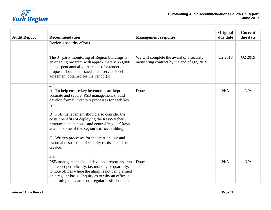

| <b>Audit Report</b> | <b>Recommendation</b>                                                                                                                                                                                                                                                                                                                                                                                                                                                           | <b>Management response</b>                                                              | Original<br>due date | <b>Current</b><br>due date |
|---------------------|---------------------------------------------------------------------------------------------------------------------------------------------------------------------------------------------------------------------------------------------------------------------------------------------------------------------------------------------------------------------------------------------------------------------------------------------------------------------------------|-----------------------------------------------------------------------------------------|----------------------|----------------------------|
|                     | Region's security efforts.                                                                                                                                                                                                                                                                                                                                                                                                                                                      |                                                                                         |                      |                            |
|                     | 4.2<br>The 3 <sup>rd</sup> party monitoring of Region buildings is<br>an ongoing program with approximately \$63,000<br>being spent annually. A request for tender or<br>proposal should be issued and a service level<br>agreement obtained for the vendor(s).                                                                                                                                                                                                                 | We will complete the award of a security<br>monitoring contract by the end of Q2, 2019. | Q2 2018              | Q2 2019                    |
|                     | 4.3<br>A To help ensure key inventories are kept<br>accurate and secure, PSB management should<br>develop formal inventory processes for each key<br>type.<br>B PSB management should also consider the<br>costs / benefits of deploying the KeyWatcher<br>program to help house and control 'regular' keys<br>at all or some of the Region's office building.<br>C Written processes for the creation, use and<br>eventual destruction of security cards should be<br>created. | Done.                                                                                   | N/A                  | N/A                        |
|                     | 4.4<br>PSB management should develop a report and run<br>the report periodically, i.e. monthly or quarterly,<br>to note offices where the alarm is not being armed<br>on a regular basis. Inquiry as to why an office is<br>not arming the alarm on a regular basis should be                                                                                                                                                                                                   | Done.                                                                                   | N/A                  | N/A                        |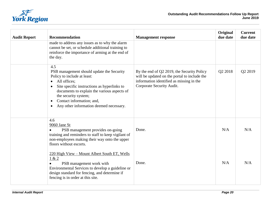

| <b>Audit Report</b> | <b>Recommendation</b>                                                                                                                                                                                                                                                                                                                             | <b>Management response</b>                                                                                                                                          | Original<br>due date | <b>Current</b><br>due date |
|---------------------|---------------------------------------------------------------------------------------------------------------------------------------------------------------------------------------------------------------------------------------------------------------------------------------------------------------------------------------------------|---------------------------------------------------------------------------------------------------------------------------------------------------------------------|----------------------|----------------------------|
|                     | made to address any issues as to why the alarm<br>cannot be set, or schedule additional training to<br>reinforce the importance of arming at the end of<br>the day.                                                                                                                                                                               |                                                                                                                                                                     |                      |                            |
|                     | 4.5<br>PSB management should update the Security<br>Policy to include at least:<br>All offices:<br>$\bullet$<br>Site specific instructions as hyperlinks to<br>$\bullet$<br>documents to explain the various aspects of<br>the security system;<br>Contact information; and,<br>$\bullet$<br>Any other information deemed necessary.<br>$\bullet$ | By the end of Q2 2019, the Security Policy<br>will be updated on the portal to include the<br>information identified as missing in the<br>Corporate Security Audit. | Q2 2018              | Q2 2019                    |
|                     | 4.6<br>9060 Jane St<br>PSB management provides on-going<br>$\bullet$<br>training and reminders to staff to keep vigilant of<br>non-employees making their way onto the upper<br>floors without escorts.                                                                                                                                           | Done.                                                                                                                                                               | N/A                  | N/A                        |
|                     | 220 High View - Mount Albert South ET, Wells<br>1 & 2<br>PSB management work with<br>$\bullet$<br>Environmental Services to develop a guideline or<br>design standard for fencing, and determine if<br>fencing is in order at this site.                                                                                                          | Done.                                                                                                                                                               | N/A                  | N/A                        |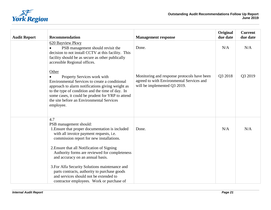

| <b>Audit Report</b> | <b>Recommendation</b>                                                                                                                                                                                                                                                                                                                                                                                                                                                                               | <b>Management response</b>                                                                                               | Original<br>due date | <b>Current</b><br>due date |
|---------------------|-----------------------------------------------------------------------------------------------------------------------------------------------------------------------------------------------------------------------------------------------------------------------------------------------------------------------------------------------------------------------------------------------------------------------------------------------------------------------------------------------------|--------------------------------------------------------------------------------------------------------------------------|----------------------|----------------------------|
|                     | 620 Bayview Pkwy<br>PSB management should revisit the<br>decision to not install CCTV at this facility. This<br>facility should be as secure as other publically<br>accessible Regional offices.                                                                                                                                                                                                                                                                                                    | Done.                                                                                                                    | N/A                  | N/A                        |
|                     | Other<br>Property Services work with<br>Environmental Services to create a conditional<br>approach to alarm notifications giving weight as<br>to the type of condition and the time of day. In<br>some cases, it could be prudent for YRP to attend<br>the site before an Environmental Services<br>employee.                                                                                                                                                                                       | Monitoring and response protocols have been<br>agreed to with Environmental Services and<br>will be implemented Q3 2019. | Q3 2018              | Q3 2019                    |
|                     | 4.7<br>PSB management should:<br>1. Ensure that proper documentation is included<br>with all invoice payment requests, i.e.<br>commission report for new installations.<br>2. Ensure that all Notification of Signing<br>Authority forms are reviewed for completeness<br>and accuracy on an annual basis.<br>3. For Alfa Security Solutions maintenance and<br>parts contracts, authority to purchase goods<br>and services should not be extended to<br>contractor employees. Work or purchase of | Done.                                                                                                                    | N/A                  | N/A                        |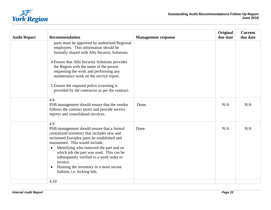

| <b>Audit Report</b> | <b>Recommendation</b>                                                                                                                                                                                                                                                                                                                                                                                                                | <b>Management response</b> | Original<br>due date | <b>Current</b><br>due date |
|---------------------|--------------------------------------------------------------------------------------------------------------------------------------------------------------------------------------------------------------------------------------------------------------------------------------------------------------------------------------------------------------------------------------------------------------------------------------|----------------------------|----------------------|----------------------------|
|                     | parts must be approved by authorized Regional<br>employees. This information should be<br>formally shared with Alfa Security Solutions.                                                                                                                                                                                                                                                                                              |                            |                      |                            |
|                     | 4. Ensure that Alfa Security Solutions provides<br>the Region with the name of the person<br>requesting the work and performing any<br>maintenance work on the service report.                                                                                                                                                                                                                                                       |                            |                      |                            |
|                     | 5. Ensure the required police screening is<br>provided by the contractor as per the contract.                                                                                                                                                                                                                                                                                                                                        |                            |                      |                            |
|                     | 4.8<br>PSB management should ensure that the vendor<br>follows the contract terms and provide service<br>reports and consolidated invoices.                                                                                                                                                                                                                                                                                          | Done.                      | N/A                  | N/A                        |
|                     | 4.9<br>PSB management should ensure that a formal<br>centralized inventory that includes new and<br>reclaimed Europlex parts be established and<br>maintained. This would include:<br>Identifying who removed the part and on<br>$\bullet$<br>which job the part was used. This can be<br>subsequently verified to a work order or<br>invoice.<br>Housing the inventory in a more secure<br>$\bullet$<br>fashion, i.e. locking lids. | Done.                      | N/A                  | N/A                        |
|                     | 4.10                                                                                                                                                                                                                                                                                                                                                                                                                                 |                            |                      |                            |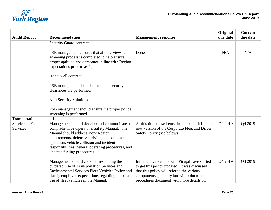

| <b>Audit Report</b>                | <b>Recommendation</b>                                                                                                                                                                                                                                                | <b>Management response</b>                                                                                                                    | Original<br>due date | <b>Current</b><br>due date |
|------------------------------------|----------------------------------------------------------------------------------------------------------------------------------------------------------------------------------------------------------------------------------------------------------------------|-----------------------------------------------------------------------------------------------------------------------------------------------|----------------------|----------------------------|
|                                    | <b>Security Guard contract</b>                                                                                                                                                                                                                                       |                                                                                                                                               |                      |                            |
|                                    | PSB management ensures that all interviews and<br>screening process is completed to help ensure<br>proper aptitude and demeanor in line with Region<br>expectations prior to assignment.                                                                             | Done.                                                                                                                                         | N/A                  | N/A                        |
|                                    | Honeywell contract                                                                                                                                                                                                                                                   |                                                                                                                                               |                      |                            |
|                                    | PSB management should ensure that security<br>clearances are performed.                                                                                                                                                                                              |                                                                                                                                               |                      |                            |
|                                    | <b>Alfa Security Solutions</b>                                                                                                                                                                                                                                       |                                                                                                                                               |                      |                            |
|                                    | PSB management should ensure the proper police<br>screening is performed.                                                                                                                                                                                            |                                                                                                                                               |                      |                            |
| Transportation<br>Services – Fleet | 4.1<br>Management should develop and communicate a                                                                                                                                                                                                                   | At this time these items should be built into the                                                                                             | Q4 2019              | Q4 2019                    |
| Services                           | comprehensive Operator's Safety Manual. The<br>Manual should address York Region<br>requirements, defensive driving and equipment<br>operation, vehicle collision and incident<br>responsibilities, general operating procedures, and<br>updated fueling procedures. | new version of the Corporate Fleet and Driver<br>Safety Policy (see below).                                                                   |                      |                            |
|                                    | Management should consider rescinding the<br>outdated Use of Transportation Services and<br>Environmental Services Fleet Vehicles Policy and                                                                                                                         | Initial conversations with Piragal have started<br>to get this policy updated. It was discussed<br>that this policy will refer to the various | Q4 2019              | Q4 2019                    |
|                                    | clarify employee expectations regarding personal<br>use of fleet vehicles in the Manual.                                                                                                                                                                             | components generally but will point to a<br>procedures document with more details on                                                          |                      |                            |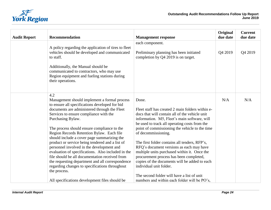

| <b>Audit Report</b> | <b>Recommendation</b>                                                                                                                                                                                                                                                                                                                                                                                                                                                                                                                                                                                                                                                                                                                           | <b>Management response</b>                                                                                                                                                                                                                                                                                                                                                                                                                                                                                                                                                                                                                              | Original<br>due date | <b>Current</b><br>due date |
|---------------------|-------------------------------------------------------------------------------------------------------------------------------------------------------------------------------------------------------------------------------------------------------------------------------------------------------------------------------------------------------------------------------------------------------------------------------------------------------------------------------------------------------------------------------------------------------------------------------------------------------------------------------------------------------------------------------------------------------------------------------------------------|---------------------------------------------------------------------------------------------------------------------------------------------------------------------------------------------------------------------------------------------------------------------------------------------------------------------------------------------------------------------------------------------------------------------------------------------------------------------------------------------------------------------------------------------------------------------------------------------------------------------------------------------------------|----------------------|----------------------------|
|                     | A policy regarding the application of tires to fleet<br>vehicles should be developed and communicated<br>to staff.<br>Additionally, the Manual should be<br>communicated to contractors, who may use<br>Region equipment and fueling stations during<br>their operations.                                                                                                                                                                                                                                                                                                                                                                                                                                                                       | each component.<br>Preliminary planning has been initiated<br>completion by Q4 2019 is on target.                                                                                                                                                                                                                                                                                                                                                                                                                                                                                                                                                       | Q4 2019              | Q4 2019                    |
|                     | 4.2<br>Management should implement a formal process<br>to ensure all specifications developed for bid<br>documents are administered through the Fleet<br>Services to ensure compliance with the<br>Purchasing Bylaw.<br>The process should ensure compliance to the<br>Region Records Retention Bylaw. Each file<br>should include a cover page summarizing the<br>product or service being tendered and a list of<br>personnel involved in the development and<br>evaluation of specifications. Also included in the<br>file should be all documentation received from<br>the requesting department and all correspondence<br>regarding changes to specifications throughout<br>the process.<br>All specifications development files should be | Done.<br>Fleet staff has created 2 main folders within e-<br>docs that will contain all of the vehicle unit<br>information. M5, Fleet's main software, will<br>be used to track all operating costs from the<br>point of commissioning the vehicle to the time<br>of decommissioning.<br>The first folder contains all tenders, RFP's,<br>RFQ's document versions as each may have<br>multiple units purchased within it. Once the<br>procurement process has been completed,<br>copies of the documents will be added to each<br>individual unit folder.<br>The second folder will have a list of unit<br>numbers and within each folder will be PO's, | N/A                  | N/A                        |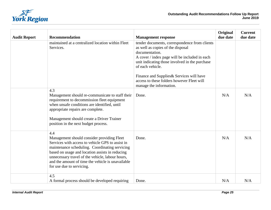

| <b>Audit Report</b> | <b>Recommendation</b>                                                                                                                                                                                                                                                                                                                            | <b>Management response</b>                                                                                                                                                                                                                                                                                                                        | Original<br>due date | <b>Current</b><br>due date |
|---------------------|--------------------------------------------------------------------------------------------------------------------------------------------------------------------------------------------------------------------------------------------------------------------------------------------------------------------------------------------------|---------------------------------------------------------------------------------------------------------------------------------------------------------------------------------------------------------------------------------------------------------------------------------------------------------------------------------------------------|----------------------|----------------------------|
|                     | maintained at a centralized location within Fleet<br>Services.                                                                                                                                                                                                                                                                                   | tender documents, correspondence from clients<br>as well as copies of the disposal<br>documentation.<br>A cover / index page will be included in each<br>unit indicating those involved in the purchase<br>of each vehicle.<br>Finance and Supplies & Services will have<br>access to these folders however Fleet will<br>manage the information. |                      |                            |
|                     | 4.3<br>Management should re-communicate to staff their<br>requirement to decommission fleet equipment<br>when unsafe conditions are identified, until<br>appropriate repairs are complete.<br>Management should create a Driver Trainer<br>position in the next budget process.                                                                  | Done.                                                                                                                                                                                                                                                                                                                                             | N/A                  | N/A                        |
|                     | 4.4<br>Management should consider providing Fleet<br>Services with access to vehicle GPS to assist in<br>maintenance scheduling. Coordinating servicing<br>based on usage and location assists in reducing<br>unnecessary travel of the vehicle, labour hours,<br>and the amount of time the vehicle is unavailable<br>for use due to servicing. | Done.                                                                                                                                                                                                                                                                                                                                             | N/A                  | N/A                        |
|                     | 4.5<br>A formal process should be developed requiring                                                                                                                                                                                                                                                                                            | Done.                                                                                                                                                                                                                                                                                                                                             | N/A                  | N/A                        |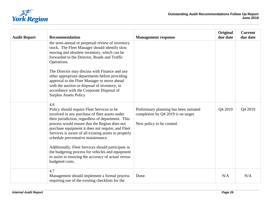

| <b>Audit Report</b> | <b>Recommendation</b>                                                                                                                                                                                                                                                                                                                                         | <b>Management response</b>                                                                                  | Original<br>due date | <b>Current</b><br>due date |
|---------------------|---------------------------------------------------------------------------------------------------------------------------------------------------------------------------------------------------------------------------------------------------------------------------------------------------------------------------------------------------------------|-------------------------------------------------------------------------------------------------------------|----------------------|----------------------------|
|                     | the semi-annual or perpetual review of inventory<br>stock. The Fleet Manager should identify slow<br>moving and obsolete inventory, which can be<br>forwarded to the Director, Roads and Traffic<br>Operations.                                                                                                                                               |                                                                                                             |                      |                            |
|                     | The Director may discuss with Finance and any<br>other appropriate departments before providing<br>approval to the Fleet Manager to move ahead<br>with the auction or disposal of inventory, in<br>accordance with the Corporate Disposal of<br><b>Surplus Assets Policy</b>                                                                                  |                                                                                                             |                      |                            |
|                     | 4.6<br>Policy should require Fleet Services to be<br>involved in any purchase of fleet assets under<br>their jurisdiction, regardless of department. This<br>process would ensure that the Region does not<br>purchase equipment it does not require, and Fleet<br>Services is aware of all existing assets to properly<br>schedule preventative maintenance. | Preliminary planning has been initiated<br>completion by Q4 2019 is on target.<br>New policy to be created. | Q4 2019              | Q4 2019                    |
|                     | Additionally, Fleet Services should participate in<br>the budgeting process for vehicles and equipment<br>to assist in ensuring the accuracy of actual versus<br>budgeted costs.                                                                                                                                                                              |                                                                                                             |                      |                            |
|                     | 4.7<br>Management should implement a formal process<br>requiring use of the existing checklists for the                                                                                                                                                                                                                                                       | Done.                                                                                                       | N/A                  | N/A                        |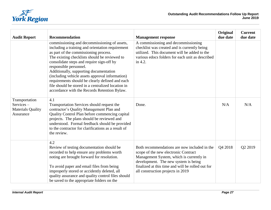

| <b>Audit Report</b>                                                  | <b>Recommendation</b>                                                                                                                                                                                                                                                                                                                                                                                                                                                                                                   | <b>Management response</b>                                                                                                                                                                                                                                         | Original<br>due date | <b>Current</b><br>due date |
|----------------------------------------------------------------------|-------------------------------------------------------------------------------------------------------------------------------------------------------------------------------------------------------------------------------------------------------------------------------------------------------------------------------------------------------------------------------------------------------------------------------------------------------------------------------------------------------------------------|--------------------------------------------------------------------------------------------------------------------------------------------------------------------------------------------------------------------------------------------------------------------|----------------------|----------------------------|
|                                                                      | commissioning and decommissioning of assets,<br>including a training and orientation requirement<br>as part of the commissioning process.<br>The existing checklists should be reviewed to<br>consolidate steps and require sign-off by<br>responsible personnel.<br>Additionally, supporting documentation<br>(including vehicle assets approval information)<br>requirements should be clearly defined and each<br>file should be stored in a centralized location in<br>accordance with the Records Retention Bylaw. | A commissioning and decommissioning<br>checklist was created and is currently being<br>utilized. This document will be added to the<br>various edocs folders for each unit as described<br>in 4.2.                                                                 |                      |                            |
| Transportation<br>Services-<br><b>Materials Quality</b><br>Assurance | 4.1<br>Transportation Services should request the<br>contractor's Quality Management Plan and<br>Quality Control Plan before commencing capital<br>projects. The plans should be reviewed and<br>understood. Formal feedback should be provided<br>to the contractor for clarifications as a result of<br>the review.                                                                                                                                                                                                   | Done.                                                                                                                                                                                                                                                              | N/A                  | N/A                        |
|                                                                      | 4.2<br>Review of testing documentation should be<br>recorded to help ensure any problems worth<br>noting are brought forward for resolution.<br>To avoid paper and email files from being<br>improperly stored or accidently deleted, all<br>quality assurance and quality control files should<br>be saved to the appropriate folders on the                                                                                                                                                                           | Both recommendations are now included in the<br>scope of the new electronic Contract<br>Management System, which is currently in<br>development. The new system is being<br>finalized at this time and will be rolled out for<br>all construction projects in 2019 | Q4 2018              | Q2 2019                    |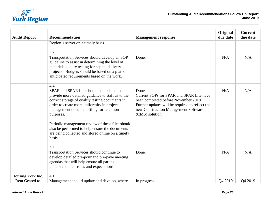

| <b>Audit Report</b>                   | Recommendation                                                                                                                                                                                                                                                                                                                                                                                                                     | <b>Management response</b>                                                                                                                                                                              | Original<br>due date | <b>Current</b><br>due date |
|---------------------------------------|------------------------------------------------------------------------------------------------------------------------------------------------------------------------------------------------------------------------------------------------------------------------------------------------------------------------------------------------------------------------------------------------------------------------------------|---------------------------------------------------------------------------------------------------------------------------------------------------------------------------------------------------------|----------------------|----------------------------|
|                                       | Region's server on a timely basis.                                                                                                                                                                                                                                                                                                                                                                                                 |                                                                                                                                                                                                         |                      |                            |
|                                       | 4.3<br>Transportation Services should develop an SOP<br>guideline to assist in determining the level of<br>materials quality testing for capital delivery<br>projects. Budgets should be based on a plan of<br>anticipated requirements based on the work.                                                                                                                                                                         | Done.                                                                                                                                                                                                   | N/A                  | N/A                        |
|                                       | 4.4<br>SPAR and SPAR Lite should be updated to<br>provide more detailed guidance to staff as to the<br>correct storage of quality testing documents in<br>order to create more uniformity in project<br>management document filing for retention<br>purposes.<br>Periodic management review of these files should<br>also be performed to help ensure the documents<br>are being collected and stored online on a timely<br>basis. | Done.<br>Current SOPs for SPAR and SPAR Lite have<br>been completed before November 2018.<br>Further updates will be required to reflect the<br>new Construction Management Software<br>(CMS) solution. | N/A                  | N/A                        |
|                                       | 4.5<br>Transportation Services should continue to<br>develop detailed pre-pour and pre-pave meeting<br>agendas that will help ensure all parties<br>understand their roles and expectations.                                                                                                                                                                                                                                       | Done.                                                                                                                                                                                                   | N/A                  | N/A                        |
| Housing York Inc.<br>- Rent Geared to | 4.1<br>Management should update and develop, where                                                                                                                                                                                                                                                                                                                                                                                 | In progress.                                                                                                                                                                                            | O <sub>4</sub> 2019  | O <sub>4</sub> 2019        |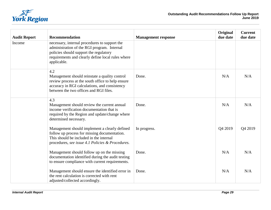

| <b>Audit Report</b> | Recommendation                                                                                                                                                                                             | <b>Management response</b> | Original<br>due date | <b>Current</b><br>due date |
|---------------------|------------------------------------------------------------------------------------------------------------------------------------------------------------------------------------------------------------|----------------------------|----------------------|----------------------------|
| Income              | necessary, internal procedures to support the<br>administration of the RGI program. Internal<br>policies should support the regulatory<br>requirements and clearly define local rules where<br>applicable. |                            |                      |                            |
|                     | 4.2<br>Management should reinstate a quality control<br>review process at the south office to help ensure<br>accuracy in RGI calculations, and consistency<br>between the two offices and RGI files.       | Done.                      | N/A                  | N/A                        |
|                     | 4.3<br>Management should review the current annual<br>income verification documentation that is<br>required by the Region and update/change where<br>determined necessary.                                 | Done.                      | N/A                  | N/A                        |
|                     | Management should implement a clearly defined<br>follow up process for missing documentation.<br>This should be included in the internal<br>procedures, see issue 4.1 Policies & Procedures.               | In progress.               | Q4 2019              | Q4 2019                    |
|                     | Management should follow up on the missing<br>documentation identified during the audit testing<br>to ensure compliance with current requirements.                                                         | Done.                      | N/A                  | N/A                        |
|                     | Management should ensure the identified error in<br>the rent calculation is corrected with rent<br>adjusted/collected accordingly.                                                                         | Done.                      | N/A                  | N/A                        |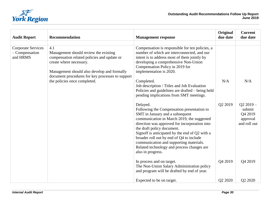

| <b>Audit Report</b>                                     | <b>Recommendation</b>                                                                                                                                                                                                                                     | <b>Management response</b>                                                                                                                                                                                                                                                                                                                                                                                                                                                 | Original<br>due date | <b>Current</b><br>due date            |
|---------------------------------------------------------|-----------------------------------------------------------------------------------------------------------------------------------------------------------------------------------------------------------------------------------------------------------|----------------------------------------------------------------------------------------------------------------------------------------------------------------------------------------------------------------------------------------------------------------------------------------------------------------------------------------------------------------------------------------------------------------------------------------------------------------------------|----------------------|---------------------------------------|
| <b>Corporate Services</b><br>- Compensation<br>and HRMS | 4.1<br>Management should review the existing<br>compensation related policies and update or<br>create where necessary.<br>Management should also develop and formally<br>document procedures for key processes to support<br>the policies once completed. | Compensation is responsible for ten policies, a<br>number of which are interconnected, and our<br>intent is to address most of them jointly by<br>developing a comprehensive Non-Union<br>Compensation Policy in 2019 for<br>implementation is 2020.<br>Completed.<br>Job description / Titles and Job Evaluation<br>Policies and guidelines are drafted - being held<br>pending implications from SMT meetings.<br>Delayed.<br>Following the Compensation presentation to | N/A<br>Q2 2019       | N/A<br>$Q22019-$<br>submit<br>Q4 2019 |
|                                                         |                                                                                                                                                                                                                                                           | SMT in January and a subsequent<br>communication in March 2019, the suggested<br>direction was approved for incorporation into<br>the draft policy document.<br>Signoff is anticipated by the end of Q2 with a<br>broader roll out by end of Q4 to include<br>communication and supporting materials.<br>Related technology and process changes are<br>also in progress.                                                                                                   |                      | approval<br>and roll out              |
|                                                         |                                                                                                                                                                                                                                                           | In process and on target.<br>The Non-Union Salary Administration policy<br>and program will be drafted by end of year.                                                                                                                                                                                                                                                                                                                                                     | Q4 2019              | Q4 2019                               |
|                                                         |                                                                                                                                                                                                                                                           | Expected to be on target.                                                                                                                                                                                                                                                                                                                                                                                                                                                  | Q2 2020              | Q2 2020                               |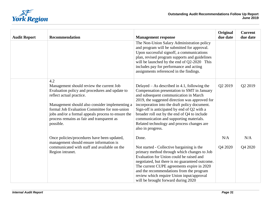

| <b>Audit Report</b> | <b>Recommendation</b>                                                                                                                                                                                                                                                                                                                             | <b>Management response</b>                                                                                                                                                                                                                                                                                                                                                                                                                             | Original<br>due date | <b>Current</b><br>due date |
|---------------------|---------------------------------------------------------------------------------------------------------------------------------------------------------------------------------------------------------------------------------------------------------------------------------------------------------------------------------------------------|--------------------------------------------------------------------------------------------------------------------------------------------------------------------------------------------------------------------------------------------------------------------------------------------------------------------------------------------------------------------------------------------------------------------------------------------------------|----------------------|----------------------------|
|                     |                                                                                                                                                                                                                                                                                                                                                   | The Non-Union Salary Administration policy<br>and program will be submitted for approval.<br>Upon successful signoff, a communications<br>plan, revised program supports and guidelines<br>will be launched by the end of Q2-2020 This<br>includes pay for performance and acting<br>assignments referenced in the findings.                                                                                                                           |                      |                            |
|                     | 4.2<br>Management should review the current Job<br>Evaluation policy and procedures and update to<br>reflect actual practice.<br>Management should also consider implementing a<br>formal Job Evaluation Committee for non-union<br>jobs and/or a formal appeals process to ensure the<br>process remains as fair and transparent as<br>possible. | Delayed $-$ As described in 4.1, following the<br>Compensation presentation to SMT in January<br>and subsequent communication in March<br>2019, the suggested direction was approved for<br>incorporation into the draft policy document.<br>Sign-off is anticipated by end of Q2 with a<br>broader roll out by the end of Q4 to include<br>communication and supporting materials.<br>Related technology and process changes are<br>also in progress. | Q2 2019              | Q2 2019                    |
|                     | Once policies/procedures have been updated,<br>management should ensure information is<br>communicated with staff and available on the<br>Region intranet.                                                                                                                                                                                        | Done.<br>Not started - Collective bargaining is the<br>primary method through which changes to Job<br>Evaluation for Union could be raised and<br>negotiated, but there is no guaranteed outcome.<br>The current CUPE agreements expire in 2020<br>and the recommendations from the program<br>review which require Union input/approval<br>will be brought forward during 2020                                                                        | N/A<br>Q4 2020       | N/A<br>Q4 2020             |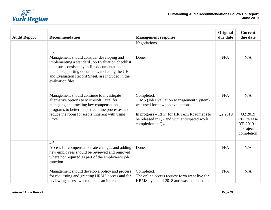

| <b>Audit Report</b> | Recommendation                                                                                                                                                                                                                                                                       | <b>Management response</b>                                                                                                                                                                                          | Original<br>due date | <b>Current</b><br>due date                                         |
|---------------------|--------------------------------------------------------------------------------------------------------------------------------------------------------------------------------------------------------------------------------------------------------------------------------------|---------------------------------------------------------------------------------------------------------------------------------------------------------------------------------------------------------------------|----------------------|--------------------------------------------------------------------|
|                     |                                                                                                                                                                                                                                                                                      | Negotiations.                                                                                                                                                                                                       |                      |                                                                    |
|                     | 4.3<br>Management should consider developing and<br>implementing a standard Job Evaluation checklist<br>to ensure consistency in file documentation and<br>that all supporting documents, including the JIF<br>and Evaluation Record Sheet, are included in the<br>evaluation files. | Done.                                                                                                                                                                                                               | N/A                  | N/A                                                                |
|                     | 4.4<br>Management should continue to investigate<br>alternative options to Microsoft Excel for<br>managing and tracking key compensation<br>programs to better help streamline processes and<br>reduce the room for errors inherent with using<br>Excel.                             | Completed.<br><b>JEMS</b> (Job Evaluation Management System)<br>was used for new job evaluations.<br>In progress - RFP (for HR Tech Roadmap) to<br>be released in Q2 and with anticipated work<br>completion in Q4. | N/A<br>Q2 2019       | N/A<br>Q2 2019<br>RFP release<br>YE 2019-<br>Project<br>completion |
|                     | 4.5<br>Access for compensation rate changes and adding<br>new employees should be reviewed and removed<br>where not required as part of the employee's job<br>function.                                                                                                              | Done.                                                                                                                                                                                                               | N/A                  | N/A                                                                |
|                     | Management should develop a policy and process<br>for requesting and granting HRMS access and for<br>reviewing access when there is an internal                                                                                                                                      | Completed.<br>The online access request form went live for<br>HRMS by end of 2018 and was expanded to                                                                                                               | N/A                  | N/A                                                                |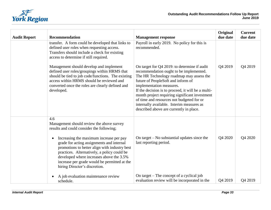

| <b>Audit Report</b> | <b>Recommendation</b>                                                                                                                                                                                                                                                                                                                                                                                                           | <b>Management response</b>                                                                                                                                                                                                                                                                                                                                                                                                                         | Original<br>due date | <b>Current</b><br>due date |
|---------------------|---------------------------------------------------------------------------------------------------------------------------------------------------------------------------------------------------------------------------------------------------------------------------------------------------------------------------------------------------------------------------------------------------------------------------------|----------------------------------------------------------------------------------------------------------------------------------------------------------------------------------------------------------------------------------------------------------------------------------------------------------------------------------------------------------------------------------------------------------------------------------------------------|----------------------|----------------------------|
|                     | transfer. A form could be developed that links to<br>defined user roles when requesting access.<br>Transfers should include a check for existing<br>access to determine if still required.                                                                                                                                                                                                                                      | Payroll in early 2019. No policy for this is<br>recommended.                                                                                                                                                                                                                                                                                                                                                                                       |                      |                            |
|                     | Management should develop and implement<br>defined user roles/groupings within HRMS that<br>should be tied to job code/functions. The existing<br>access within HRMS should be reviewed and<br>converted once the roles are clearly defined and<br>developed.                                                                                                                                                                   | On target for Q4 2019: to determine if audit<br>recommendation ought to be implemented.<br>The HR Technology roadmap may assess the<br>future of PeopleSoft and inform of<br>implementation measures.<br>If the decision is to proceed, it will be a multi-<br>month project requiring significant investment<br>of time and resources not budgeted for or<br>internally available. Interim measures as<br>described above are currently in place. | Q4 2019              | Q4 2019                    |
|                     | 4.6<br>Management should review the above survey<br>results and could consider the following;<br>Increasing the maximum increase per pay<br>$\bullet$<br>grade for acting assignments and internal<br>promotions to better align with industry best<br>practices. Alternatively, a policy could be<br>developed where increases above the 3.5%<br>increase per grade would be permitted at the<br>hiring Director's discretion. | On target $-$ No substantial updates since the<br>last reporting period.                                                                                                                                                                                                                                                                                                                                                                           | Q4 2020              | Q4 2020                    |
|                     | A job evaluation maintenance review<br>schedule.                                                                                                                                                                                                                                                                                                                                                                                | On target – The concept of a cyclical job<br>evaluation review will be incorporated in the                                                                                                                                                                                                                                                                                                                                                         | Q4 2019              | Q4 2019                    |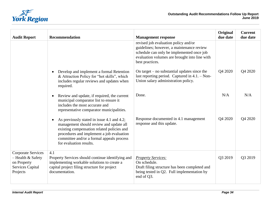

| <b>Audit Report</b>                                                                                  | <b>Recommendation</b>                                                                                                                                                                                                                                                 | <b>Management response</b>                                                                                                                                                                         | Original<br>due date | <b>Current</b><br>due date |
|------------------------------------------------------------------------------------------------------|-----------------------------------------------------------------------------------------------------------------------------------------------------------------------------------------------------------------------------------------------------------------------|----------------------------------------------------------------------------------------------------------------------------------------------------------------------------------------------------|----------------------|----------------------------|
|                                                                                                      |                                                                                                                                                                                                                                                                       | revised job evaluation policy and/or<br>guidelines; however, a maintenance review<br>schedule can only be implemented once job<br>evaluation volumes are brought into line with<br>best practices. |                      |                            |
|                                                                                                      | Develop and implement a formal Retention<br>$\bullet$<br>& Attraction Policy for "hot skills", which<br>includes regular reviews and updates when<br>required.                                                                                                        | On target $-$ no substantial updates since the<br>last reporting period. Captured in $4.1. -$ Non-<br>Union salary administration policy.                                                          | Q4 2020              | Q4 2020                    |
|                                                                                                      | Review and update, if required, the current<br>$\bullet$<br>municipal comparator list to ensure it<br>includes the most accurate and<br>representative comparator municipalities.                                                                                     | Done.                                                                                                                                                                                              | N/A                  | N/A                        |
|                                                                                                      | As previously stated in issue 4.1 and 4.2;<br>$\bullet$<br>management should review and update all<br>existing compensation related policies and<br>procedures and implement a job evaluation<br>committee and/or a formal appeals process<br>for evaluation results. | Response documented in 4.1 management<br>response and this update.                                                                                                                                 | Q4 2020              | Q4 2020                    |
| <b>Corporate Services</b><br>- Health & Safety<br>on Property<br><b>Services Capital</b><br>Projects | 4.1<br>Property Services should continue identifying and<br>implementing workable solutions to create a<br>capital project filing structure for project<br>documentation.                                                                                             | <b>Property Services:</b><br>On schedule.<br>Draft filing structure has been completed and<br>being tested in Q2. Full implementation by<br>end of Q3.                                             | Q3 2019              | Q3 2019                    |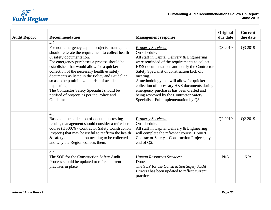

| <b>Audit Report</b> | <b>Recommendation</b>                                                                                                                                                                                                                                                                                                                                                                                                                                                                                         | <b>Management response</b>                                                                                                                                                                                                                                                                                                                                                                                                                                                       | Original<br>due date | <b>Current</b><br>due date |
|---------------------|---------------------------------------------------------------------------------------------------------------------------------------------------------------------------------------------------------------------------------------------------------------------------------------------------------------------------------------------------------------------------------------------------------------------------------------------------------------------------------------------------------------|----------------------------------------------------------------------------------------------------------------------------------------------------------------------------------------------------------------------------------------------------------------------------------------------------------------------------------------------------------------------------------------------------------------------------------------------------------------------------------|----------------------|----------------------------|
|                     | 4.2<br>For non-emergency capital projects, management<br>should reiterate the requirement to collect health<br>& safety documentation.<br>For emergency purchases a process should be<br>established that would allow for a quicker<br>collection of the necessary health & safety<br>documents as listed in the Policy and Guideline<br>so as to help minimize the risk of accidents<br>happening.<br>The Contractor Safety Specialist should be<br>notified of projects as per the Policy and<br>Guideline. | <b>Property Services:</b><br>On schedule.<br>All staff in Capital Delivery & Engineering<br>were reminded of the requirements to collect<br>H&S documentations and notify the Contractor<br>Safety Specialist of construction kick off<br>meeting.<br>A methodology that will allow for quicker<br>collection of necessary H&S documents during<br>emergency purchases has been drafted and<br>being reviewed by the Contractor Safety<br>Specialist. Full implementation by Q3. | Q3 2019              | Q3 2019                    |
|                     | 4.3<br>Based on the collection of documents testing<br>results, management should consider a refresher<br>course (HS0076 - Contractor Safety Construction<br>Projects) that may be useful to reaffirm the health<br>& safety documentation needing to be collected<br>and why the Region collects them.                                                                                                                                                                                                       | <b>Property Services:</b><br>On schedule.<br>All staff in Capital Delivery & Engineering<br>will complete the refresher course, HS0076<br>Contractor Safety – Construction Projects, by<br>end of Q2.                                                                                                                                                                                                                                                                            | Q2 2019              | Q2 2019                    |
|                     | 4.4<br>The SOP for the Construction Safety Audit<br>Process should be updated to reflect current<br>practises in place.                                                                                                                                                                                                                                                                                                                                                                                       | <b>Human Resources Services:</b><br>Done.<br>The SOP for the Construction Safety Audit<br>Process has been updated to reflect current<br>practices.                                                                                                                                                                                                                                                                                                                              | N/A                  | N/A                        |